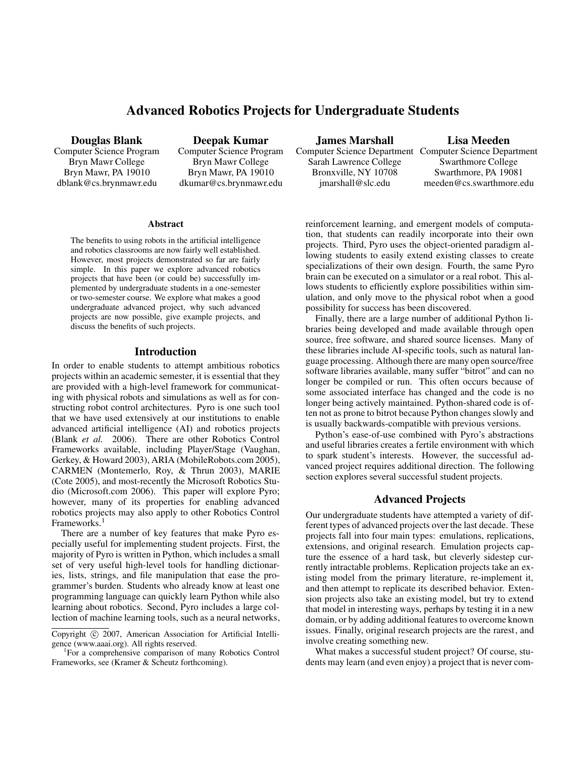# **Advanced Robotics Projects for Undergraduate Students**

**Douglas Blank**

Computer Science Program Bryn Mawr College Bryn Mawr, PA 19010 dblank@cs.brynmawr.edu

**Deepak Kumar** Computer Science Program Bryn Mawr College Bryn Mawr, PA 19010 dkumar@cs.brynmawr.edu

#### **Abstract**

The benefits to using robots in the artificial intelligence and robotics classrooms are now fairly well established. However, most projects demonstrated so far are fairly simple. In this paper we explore advanced robotics projects that have been (or could be) successfully implemented by undergraduate students in a one-semester or two-semester course. We explore what makes a good undergraduate advanced project, why such advanced projects are now possible, give example projects, and discuss the benefits of such projects.

### **Introduction**

In order to enable students to attempt ambitious robotics projects within an academic semester, it is essential that they are provided with a high-level framework for communicating with physical robots and simulations as well as for constructing robot control architectures. Pyro is one such tool that we have used extensively at our institutions to enable advanced artificial intelligence (AI) and robotics projects (Blank *et al.* 2006). There are other Robotics Control Frameworks available, including Player/Stage (Vaughan, Gerkey, & Howard 2003), ARIA (MobileRobots.com 2005), CARMEN (Montemerlo, Roy, & Thrun 2003), MARIE (Cote 2005), and most-recently the Microsoft Robotics Studio (Microsoft.com 2006). This paper will explore Pyro; however, many of its properties for enabling advanced robotics projects may also apply to other Robotics Control Frameworks.<sup>1</sup>

There are a number of key features that make Pyro especially useful for implementing student projects. First, the majority of Pyro is written in Python, which includes a small set of very useful high-level tools for handling dictionaries, lists, strings, and file manipulation that ease the programmer's burden. Students who already know at least one programming language can quickly learn Python while also learning about robotics. Second, Pyro includes a large collection of machine learning tools, such as a neural networks,

**James Marshall**

Sarah Lawrence College Bronxville, NY 10708 jmarshall@slc.edu

Computer Science Department Computer Science Department **Lisa Meeden** Swarthmore College Swarthmore, PA 19081 meeden@cs.swarthmore.edu

reinforcement learning, and emergent models of computation, that students can readily incorporate into their own projects. Third, Pyro uses the object-oriented paradigm allowing students to easily extend existing classes to create specializations of their own design. Fourth, the same Pyro brain can be executed on a simulator or a real robot. This allows students to efficiently explore possibilities within simulation, and only move to the physical robot when a good possibility for success has been discovered.

Finally, there are a large number of additional Python libraries being developed and made available through open source, free software, and shared source licenses. Many of these libraries include AI-specific tools, such as natural language processing. Although there are many open source/free software libraries available, many suffer "bitrot" and can no longer be compiled or run. This often occurs because of some associated interface has changed and the code is no longer being actively maintained. Python-shared code is often not as prone to bitrot because Python changes slowly and is usually backwards-compatible with previous versions.

Python's ease-of-use combined with Pyro's abstractions and useful libraries creates a fertile environment with which to spark student's interests. However, the successful advanced project requires additional direction. The following section explores several successful student projects.

### **Advanced Projects**

Our undergraduate students have attempted a variety of different types of advanced projects over the last decade. These projects fall into four main types: emulations, replications, extensions, and original research. Emulation projects capture the essence of a hard task, but cleverly sidestep currently intractable problems. Replication projects take an existing model from the primary literature, re-implement it, and then attempt to replicate its described behavior. Extension projects also take an existing model, but try to extend that model in interesting ways, perhaps by testing it in a new domain, or by adding additional features to overcome known issues. Finally, original research projects are the rarest, and involve creating something new.

What makes a successful student project? Of course, students may learn (and even enjoy) a project that is never com-

Copyright  $\odot$  2007, American Association for Artificial Intelligence (www.aaai.org). All rights reserved. <sup>1</sup>

For a comprehensive comparison of many Robotics Control Frameworks, see (Kramer & Scheutz forthcoming).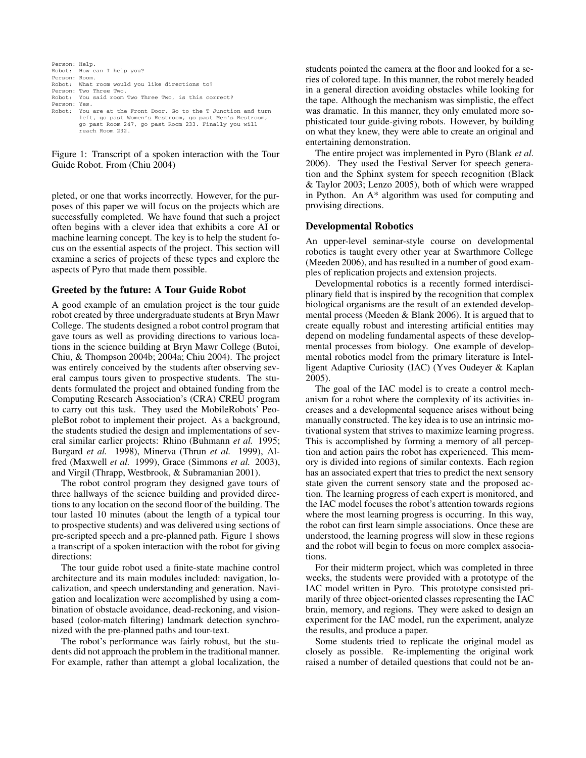```
Person: Help.
Robot: How can I help you?
Person: Room.
Robot: What room would you like directions to?
Person: Two Three Two.
Robot: You said room Two Three Two, is this correct?
Person: Yes.<br>Robot: You
         You are at the Front Door. Go to the T Junction and turn
          left, go past Women's Restroom, go past Men's Restroom,
go past Room 247, go past Room 233. Finally you will
          reach Room 232.
```
Figure 1: Transcript of a spoken interaction with the Tour Guide Robot. From (Chiu 2004)

pleted, or one that works incorrectly. However, for the purposes of this paper we will focus on the projects which are successfully completed. We have found that such a project often begins with a clever idea that exhibits a core AI or machine learning concept. The key is to help the student focus on the essential aspects of the project. This section will examine a series of projects of these types and explore the aspects of Pyro that made them possible.

### **Greeted by the future: A Tour Guide Robot**

A good example of an emulation project is the tour guide robot created by three undergraduate students at Bryn Mawr College. The students designed a robot control program that gave tours as well as providing directions to various locations in the science building at Bryn Mawr College (Butoi, Chiu, & Thompson 2004b; 2004a; Chiu 2004). The project was entirely conceived by the students after observing several campus tours given to prospective students. The students formulated the project and obtained funding from the Computing Research Association's (CRA) CREU program to carry out this task. They used the MobileRobots' PeopleBot robot to implement their project. As a background, the students studied the design and implementations of several similar earlier projects: Rhino (Buhmann *et al.* 1995; Burgard *et al.* 1998), Minerva (Thrun *et al.* 1999), Alfred (Maxwell *et al.* 1999), Grace (Simmons *et al.* 2003), and Virgil (Thrapp, Westbrook, & Subramanian 2001).

The robot control program they designed gave tours of three hallways of the science building and provided directions to any location on the second floor of the building. The tour lasted 10 minutes (about the length of a typical tour to prospective students) and was delivered using sections of pre-scripted speech and a pre-planned path. Figure 1 shows a transcript of a spoken interaction with the robot for giving directions:

The tour guide robot used a finite-state machine control architecture and its main modules included: navigation, localization, and speech understanding and generation. Navigation and localization were accomplished by using a combination of obstacle avoidance, dead-reckoning, and visionbased (color-match filtering) landmark detection synchronized with the pre-planned paths and tour-text.

The robot's performance was fairly robust, but the students did not approach the problem in the traditional manner. For example, rather than attempt a global localization, the

students pointed the camera at the floor and looked for a series of colored tape. In this manner, the robot merely headed in a general direction avoiding obstacles while looking for the tape. Although the mechanism was simplistic, the effect was dramatic. In this manner, they only emulated more sophisticated tour guide-giving robots. However, by building on what they knew, they were able to create an original and entertaining demonstration.

The entire project was implemented in Pyro (Blank *et al.* 2006). They used the Festival Server for speech generation and the Sphinx system for speech recognition (Black & Taylor 2003; Lenzo 2005), both of which were wrapped in Python. An A\* algorithm was used for computing and provising directions.

### **Developmental Robotics**

An upper-level seminar-style course on developmental robotics is taught every other year at Swarthmore College (Meeden 2006), and has resulted in a number of good examples of replication projects and extension projects.

Developmental robotics is a recently formed interdisciplinary field that is inspired by the recognition that complex biological organisms are the result of an extended developmental process (Meeden & Blank 2006). It is argued that to create equally robust and interesting artificial entities may depend on modeling fundamental aspects of these developmental processes from biology. One example of developmental robotics model from the primary literature is Intelligent Adaptive Curiosity (IAC) (Yves Oudeyer & Kaplan 2005).

The goal of the IAC model is to create a control mechanism for a robot where the complexity of its activities increases and a developmental sequence arises without being manually constructed. The key idea is to use an intrinsic motivational system that strives to maximize learning progress. This is accomplished by forming a memory of all perception and action pairs the robot has experienced. This memory is divided into regions of similar contexts. Each region has an associated expert that tries to predict the next sensory state given the current sensory state and the proposed action. The learning progress of each expert is monitored, and the IAC model focuses the robot's attention towards regions where the most learning progress is occurring. In this way, the robot can first learn simple associations. Once these are understood, the learning progress will slow in these regions and the robot will begin to focus on more complex associations.

For their midterm project, which was completed in three weeks, the students were provided with a prototype of the IAC model written in Pyro. This prototype consisted primarily of three object-oriented classes representing the IAC brain, memory, and regions. They were asked to design an experiment for the IAC model, run the experiment, analyze the results, and produce a paper.

Some students tried to replicate the original model as closely as possible. Re-implementing the original work raised a number of detailed questions that could not be an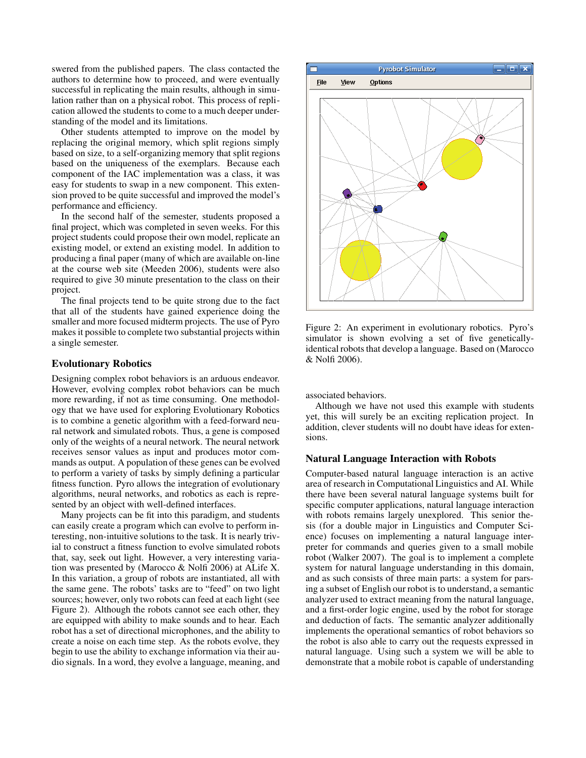swered from the published papers. The class contacted the authors to determine how to proceed, and were eventually successful in replicating the main results, although in simulation rather than on a physical robot. This process of replication allowed the students to come to a much deeper understanding of the model and its limitations.

Other students attempted to improve on the model by replacing the original memory, which split regions simply based on size, to a self-organizing memory that split regions based on the uniqueness of the exemplars. Because each component of the IAC implementation was a class, it was easy for students to swap in a new component. This extension proved to be quite successful and improved the model's performance and efficiency.

In the second half of the semester, students proposed a final project, which was completed in seven weeks. For this project students could propose their own model, replicate an existing model, or extend an existing model. In addition to producing a final paper (many of which are available on-line at the course web site (Meeden 2006), students were also required to give 30 minute presentation to the class on their project.

The final projects tend to be quite strong due to the fact that all of the students have gained experience doing the smaller and more focused midterm projects. The use of Pyro makes it possible to complete two substantial projects within a single semester.

# **Evolutionary Robotics**

Designing complex robot behaviors is an arduous endeavor. However, evolving complex robot behaviors can be much more rewarding, if not as time consuming. One methodology that we have used for exploring Evolutionary Robotics is to combine a genetic algorithm with a feed-forward neural network and simulated robots. Thus, a gene is composed only of the weights of a neural network. The neural network receives sensor values as input and produces motor commands as output. A population of these genes can be evolved to perform a variety of tasks by simply defining a particular fitness function. Pyro allows the integration of evolutionary algorithms, neural networks, and robotics as each is represented by an object with well-defined interfaces.

Many projects can be fit into this paradigm, and students can easily create a program which can evolve to perform interesting, non-intuitive solutions to the task. It is nearly trivial to construct a fitness function to evolve simulated robots that, say, seek out light. However, a very interesting variation was presented by (Marocco & Nolfi 2006) at ALife X. In this variation, a group of robots are instantiated, all with the same gene. The robots' tasks are to "feed" on two light sources; however, only two robots can feed at each light (see Figure 2). Although the robots cannot see each other, they are equipped with ability to make sounds and to hear. Each robot has a set of directional microphones, and the ability to create a noise on each time step. As the robots evolve, they begin to use the ability to exchange information via their audio signals. In a word, they evolve a language, meaning, and



Figure 2: An experiment in evolutionary robotics. Pyro's simulator is shown evolving a set of five geneticallyidentical robots that develop a language. Based on (Marocco & Nolfi 2006).

associated behaviors.

Although we have not used this example with students yet, this will surely be an exciting replication project. In addition, clever students will no doubt have ideas for extensions.

#### **Natural Language Interaction with Robots**

Computer-based natural language interaction is an active area of research in Computational Linguistics and AI. While there have been several natural language systems built for specific computer applications, natural language interaction with robots remains largely unexplored. This senior thesis (for a double major in Linguistics and Computer Science) focuses on implementing a natural language interpreter for commands and queries given to a small mobile robot (Walker 2007). The goal is to implement a complete system for natural language understanding in this domain, and as such consists of three main parts: a system for parsing a subset of English our robot is to understand, a semantic analyzer used to extract meaning from the natural language, and a first-order logic engine, used by the robot for storage and deduction of facts. The semantic analyzer additionally implements the operational semantics of robot behaviors so the robot is also able to carry out the requests expressed in natural language. Using such a system we will be able to demonstrate that a mobile robot is capable of understanding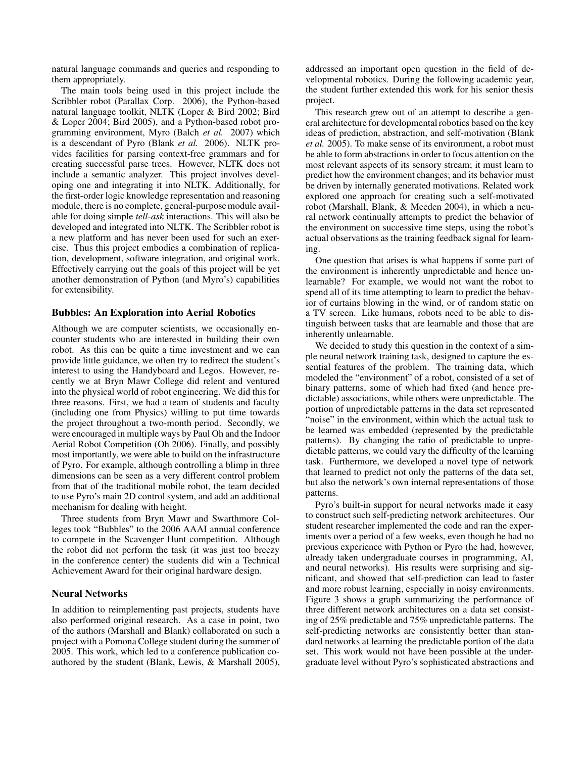natural language commands and queries and responding to them appropriately.

The main tools being used in this project include the Scribbler robot (Parallax Corp. 2006), the Python-based natural language toolkit, NLTK (Loper & Bird 2002; Bird & Loper 2004; Bird 2005), and a Python-based robot programming environment, Myro (Balch *et al.* 2007) which is a descendant of Pyro (Blank *et al.* 2006). NLTK provides facilities for parsing context-free grammars and for creating successful parse trees. However, NLTK does not include a semantic analyzer. This project involves developing one and integrating it into NLTK. Additionally, for the first-order logic knowledge representation and reasoning module, there is no complete, general-purpose module available for doing simple *tell-ask* interactions. This will also be developed and integrated into NLTK. The Scribbler robot is a new platform and has never been used for such an exercise. Thus this project embodies a combination of replication, development, software integration, and original work. Effectively carrying out the goals of this project will be yet another demonstration of Python (and Myro's) capabilities for extensibility.

### **Bubbles: An Exploration into Aerial Robotics**

Although we are computer scientists, we occasionally encounter students who are interested in building their own robot. As this can be quite a time investment and we can provide little guidance, we often try to redirect the student's interest to using the Handyboard and Legos. However, recently we at Bryn Mawr College did relent and ventured into the physical world of robot engineering. We did this for three reasons. First, we had a team of students and faculty (including one from Physics) willing to put time towards the project throughout a two-month period. Secondly, we were encouraged in multiple ways by Paul Oh and the Indoor Aerial Robot Competition (Oh 2006). Finally, and possibly most importantly, we were able to build on the infrastructure of Pyro. For example, although controlling a blimp in three dimensions can be seen as a very different control problem from that of the traditional mobile robot, the team decided to use Pyro's main 2D control system, and add an additional mechanism for dealing with height.

Three students from Bryn Mawr and Swarthmore Colleges took "Bubbles" to the 2006 AAAI annual conference to compete in the Scavenger Hunt competition. Although the robot did not perform the task (it was just too breezy in the conference center) the students did win a Technical Achievement Award for their original hardware design.

### **Neural Networks**

In addition to reimplementing past projects, students have also performed original research. As a case in point, two of the authors (Marshall and Blank) collaborated on such a project with a Pomona College student during the summer of 2005. This work, which led to a conference publication coauthored by the student (Blank, Lewis, & Marshall 2005), addressed an important open question in the field of developmental robotics. During the following academic year, the student further extended this work for his senior thesis project.

This research grew out of an attempt to describe a general architecture for developmental robotics based on the key ideas of prediction, abstraction, and self-motivation (Blank *et al.* 2005). To make sense of its environment, a robot must be able to form abstractions in order to focus attention on the most relevant aspects of its sensory stream; it must learn to predict how the environment changes; and its behavior must be driven by internally generated motivations. Related work explored one approach for creating such a self-motivated robot (Marshall, Blank, & Meeden 2004), in which a neural network continually attempts to predict the behavior of the environment on successive time steps, using the robot's actual observations as the training feedback signal for learning.

One question that arises is what happens if some part of the environment is inherently unpredictable and hence unlearnable? For example, we would not want the robot to spend all of its time attempting to learn to predict the behavior of curtains blowing in the wind, or of random static on a TV screen. Like humans, robots need to be able to distinguish between tasks that are learnable and those that are inherently unlearnable.

We decided to study this question in the context of a simple neural network training task, designed to capture the essential features of the problem. The training data, which modeled the "environment" of a robot, consisted of a set of binary patterns, some of which had fixed (and hence predictable) associations, while others were unpredictable. The portion of unpredictable patterns in the data set represented "noise" in the environment, within which the actual task to be learned was embedded (represented by the predictable patterns). By changing the ratio of predictable to unpredictable patterns, we could vary the difficulty of the learning task. Furthermore, we developed a novel type of network that learned to predict not only the patterns of the data set, but also the network's own internal representations of those patterns.

Pyro's built-in support for neural networks made it easy to construct such self-predicting network architectures. Our student researcher implemented the code and ran the experiments over a period of a few weeks, even though he had no previous experience with Python or Pyro (he had, however, already taken undergraduate courses in programming, AI, and neural networks). His results were surprising and significant, and showed that self-prediction can lead to faster and more robust learning, especially in noisy environments. Figure 3 shows a graph summarizing the performance of three different network architectures on a data set consisting of 25% predictable and 75% unpredictable patterns. The self-predicting networks are consistently better than standard networks at learning the predictable portion of the data set. This work would not have been possible at the undergraduate level without Pyro's sophisticated abstractions and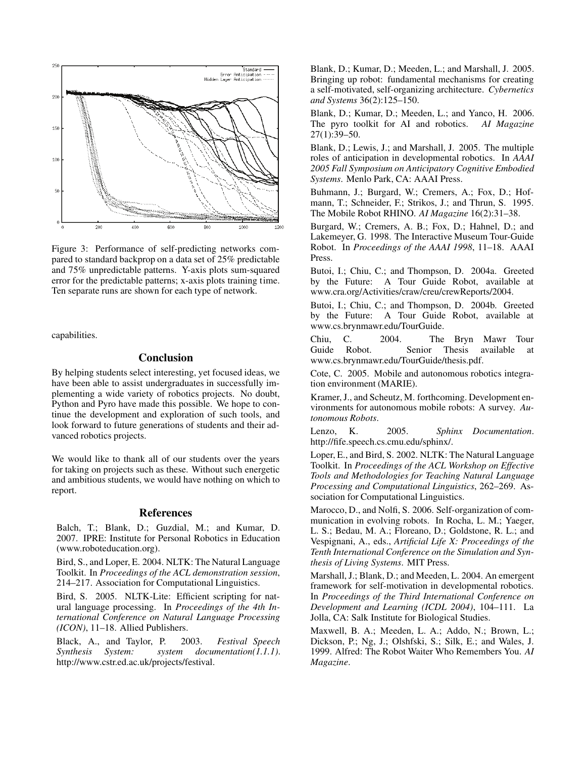

Figure 3: Performance of self-predicting networks compared to standard backprop on a data set of 25% predictable and 75% unpredictable patterns. Y-axis plots sum-squared error for the predictable patterns; x-axis plots training time. Ten separate runs are shown for each type of network.

capabilities.

## **Conclusion**

By helping students select interesting, yet focused ideas, we have been able to assist undergraduates in successfully implementing a wide variety of robotics projects. No doubt, Python and Pyro have made this possible. We hope to continue the development and exploration of such tools, and look forward to future generations of students and their advanced robotics projects.

We would like to thank all of our students over the years for taking on projects such as these. Without such energetic and ambitious students, we would have nothing on which to report.

### **References**

Balch, T.; Blank, D.; Guzdial, M.; and Kumar, D. 2007. IPRE: Institute for Personal Robotics in Education (www.roboteducation.org).

Bird, S., and Loper, E. 2004. NLTK: The Natural Language Toolkit. In *Proceedings of the ACL demonstration session*, 214–217. Association for Computational Linguistics.

Bird, S. 2005. NLTK-Lite: Efficient scripting for natural language processing. In *Proceedings of the 4th International Conference on Natural Language Processing (ICON)*, 11–18. Allied Publishers.

Black, A., and Taylor, P. 2003. *Festival Speech Synthesis System: system documentation(1.1.1)*. http://www.cstr.ed.ac.uk/projects/festival.

Blank, D.; Kumar, D.; Meeden, L.; and Marshall, J. 2005. Bringing up robot: fundamental mechanisms for creating a self-motivated, self-organizing architecture. *Cybernetics and Systems* 36(2):125–150.

Blank, D.; Kumar, D.; Meeden, L.; and Yanco, H. 2006. The pyro toolkit for AI and robotics. *AI Magazine* 27(1):39–50.

Blank, D.; Lewis, J.; and Marshall, J. 2005. The multiple roles of anticipation in developmental robotics. In *AAAI 2005 Fall Symposium on Anticipatory Cognitive Embodied Systems*. Menlo Park, CA: AAAI Press.

Buhmann, J.; Burgard, W.; Cremers, A.; Fox, D.; Hofmann, T.; Schneider, F.; Strikos, J.; and Thrun, S. 1995. The Mobile Robot RHINO. *AI Magazine* 16(2):31–38.

Burgard, W.; Cremers, A. B.; Fox, D.; Hahnel, D.; and Lakemeyer, G. 1998. The Interactive Museum Tour-Guide Robot. In *Proceedings of the AAAI 1998*, 11–18. AAAI Press.

Butoi, I.; Chiu, C.; and Thompson, D. 2004a. Greeted by the Future: A Tour Guide Robot, available at www.cra.org/Activities/craw/creu/crewReports/2004.

Butoi, I.; Chiu, C.; and Thompson, D. 2004b. Greeted by the Future: A Tour Guide Robot, available at www.cs.brynmawr.edu/TourGuide.

Chiu, C. 2004. The Bryn Mawr Tour Guide Robot. Senior Thesis available at www.cs.brynmawr.edu/TourGuide/thesis.pdf.

Cote, C. 2005. Mobile and autonomous robotics integration environment (MARIE).

Kramer, J., and Scheutz, M. forthcoming. Development environments for autonomous mobile robots: A survey. *Autonomous Robots*.

Lenzo, K. 2005. *Sphinx Documentation*. http://fife.speech.cs.cmu.edu/sphinx/.

Loper, E., and Bird, S. 2002. NLTK: The Natural Language Toolkit. In *Proceedings of the ACL Workshop on Effective Tools and Methodologies for Teaching Natural Language Processing and Computational Linguistics*, 262–269. Association for Computational Linguistics.

Marocco, D., and Nolfi, S. 2006. Self-organization of communication in evolving robots. In Rocha, L. M.; Yaeger, L. S.; Bedau, M. A.; Floreano, D.; Goldstone, R. L.; and Vespignani, A., eds., *Artificial Life X: Proceedings of the Tenth International Conference on the Simulation and Synthesis of Living Systems*. MIT Press.

Marshall, J.; Blank, D.; and Meeden, L. 2004. An emergent framework for self-motivation in developmental robotics. In *Proceedings of the Third International Conference on Development and Learning (ICDL 2004)*, 104–111. La Jolla, CA: Salk Institute for Biological Studies.

Maxwell, B. A.; Meeden, L. A.; Addo, N.; Brown, L.; Dickson, P.; Ng, J.; Olshfski, S.; Silk, E.; and Wales, J. 1999. Alfred: The Robot Waiter Who Remembers You. *AI Magazine*.